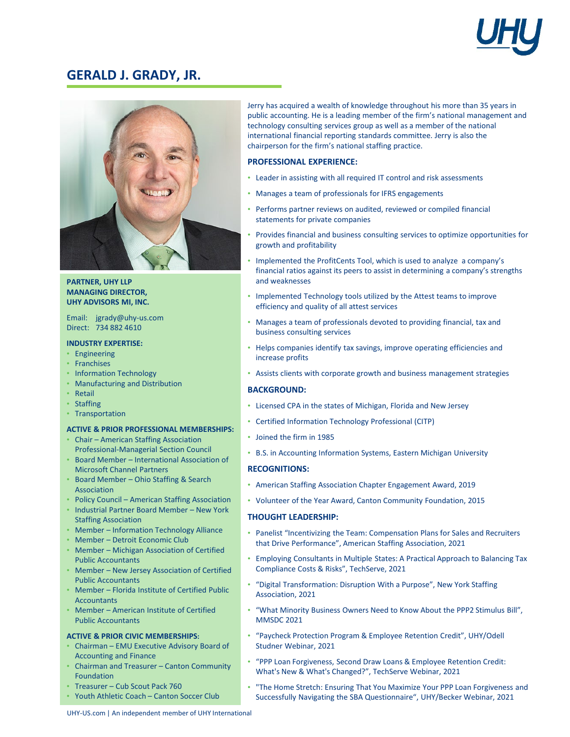

# **GERALD J. GRADY, JR.**



## **PARTNER, UHY LLP MANAGING DIRECTOR, UHY ADVISORS MI, INC.**

Email: jgrady@uhy-us.com Direct: 734 882 4610

## **INDUSTRY EXPERTISE:**

- Engineering
- Franchises
- Information Technology
- Manufacturing and Distribution
- Retail
- Staffing
- Transportation

### **ACTIVE & PRIOR PROFESSIONAL MEMBERSHIPS:**

- Chair American Staffing Association Professional-Managerial Section Council
- Board Member International Association of Microsoft Channel Partners
- Board Member Ohio Staffing & Search Association
- Policy Council American Staffing Association
- Industrial Partner Board Member New York Staffing Association
- Member Information Technology Alliance
- Member Detroit Economic Club
- Member Michigan Association of Certified Public Accountants
- Member New Jersey Association of Certified Public Accountants
- Member Florida Institute of Certified Public **Accountants**
- Member American Institute of Certified Public Accountants

### **ACTIVE & PRIOR CIVIC MEMBERSHIPS:**

- Chairman EMU Executive Advisory Board of Accounting and Finance
- Chairman and Treasurer Canton Community Foundation
- Treasurer Cub Scout Pack 760
- Youth Athletic Coach Canton Soccer Club

Jerry has acquired a wealth of knowledge throughout his more than 35 years in public accounting. He is a leading member of the firm's national management and technology consulting services group as well as a member of the national international financial reporting standards committee. Jerry is also the chairperson for the firm's national staffing practice.

## **PROFESSIONAL EXPERIENCE:**

- Leader in assisting with all required IT control and risk assessments
- Manages a team of professionals for IFRS engagements
- Performs partner reviews on audited, reviewed or compiled financial statements for private companies
- Provides financial and business consulting services to optimize opportunities for growth and profitability
- Implemented the ProfitCents Tool, which is used to analyze a company's financial ratios against its peers to assist in determining a company's strengths and weaknesses
- Implemented Technology tools utilized by the Attest teams to improve efficiency and quality of all attest services
- Manages a team of professionals devoted to providing financial, tax and business consulting services
- Helps companies identify tax savings, improve operating efficiencies and increase profits
- Assists clients with corporate growth and business management strategies

### **BACKGROUND:**

- Licensed CPA in the states of Michigan, Florida and New Jersey
- Certified Information Technology Professional (CITP)
- Joined the firm in 1985
- B.S. in Accounting Information Systems, Eastern Michigan University

## **RECOGNITIONS:**

- American Staffing Association Chapter Engagement Award, 2019
- Volunteer of the Year Award, Canton Community Foundation, 2015

## **THOUGHT LEADERSHIP:**

- Panelist "Incentivizing the Team: Compensation Plans for Sales and Recruiters that Drive Performance", American Staffing Association, 2021
- Employing Consultants in Multiple States: A Practical Approach to Balancing Tax Compliance Costs & Risks", TechServe, 2021
- "Digital Transformation: Disruption With a Purpose", New York Staffing Association, 2021
- "What Minority Business Owners Need to Know About the PPP2 Stimulus Bill", MMSDC 2021
- "Paycheck Protection Program & Employee Retention Credit", UHY/Odell Studner Webinar, 2021
- "PPP Loan Forgiveness, Second Draw Loans & Employee Retention Credit: What's New & What's Changed?", TechServe Webinar, 2021
- "The Home Stretch: Ensuring That You Maximize Your PPP Loan Forgiveness and Successfully Navigating the SBA Questionnaire", UHY/Becker Webinar, 2021